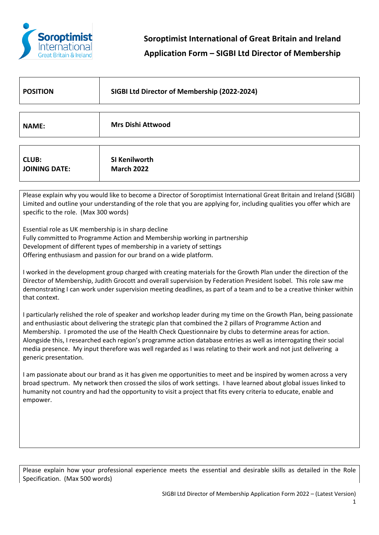

| <b>POSITION</b>                                                                                                       | SIGBI Ltd Director of Membership (2022-2024) |  |
|-----------------------------------------------------------------------------------------------------------------------|----------------------------------------------|--|
|                                                                                                                       |                                              |  |
| <b>NAME:</b>                                                                                                          | <b>Mrs Dishi Attwood</b>                     |  |
|                                                                                                                       |                                              |  |
| <b>CLUB:</b><br><b>JOINING DATE:</b>                                                                                  | SI Kenilworth<br><b>March 2022</b>           |  |
|                                                                                                                       |                                              |  |
| Please explain why you would like to become a Director of Soroptimist International Great Britain and Ireland (SIGBI) |                                              |  |

Limited and outline your understanding of the role that you are applying for, including qualities you offer which are specific to the role. (Max 300 words)

Essential role as UK membership is in sharp decline

- Fully committed to Programme Action and Membership working in partnership
- Development of different types of membership in a variety of settings

Offering enthusiasm and passion for our brand on a wide platform.

I worked in the development group charged with creating materials for the Growth Plan under the direction of the Director of Membership, Judith Grocott and overall supervision by Federation President Isobel. This role saw me demonstrating I can work under supervision meeting deadlines, as part of a team and to be a creative thinker within that context.

I particularly relished the role of speaker and workshop leader during my time on the Growth Plan, being passionate and enthusiastic about delivering the strategic plan that combined the 2 pillars of Programme Action and Membership. I promoted the use of the Health Check Questionnaire by clubs to determine areas for action. Alongside this, I researched each region's programme action database entries as well as interrogating their social media presence. My input therefore was well regarded as I was relating to their work and not just delivering a generic presentation.

I am passionate about our brand as it has given me opportunities to meet and be inspired by women across a very broad spectrum. My network then crossed the silos of work settings. I have learned about global issues linked to humanity not country and had the opportunity to visit a project that fits every criteria to educate, enable and empower.

Please explain how your professional experience meets the essential and desirable skills as detailed in the Role Specification. (Max 500 words)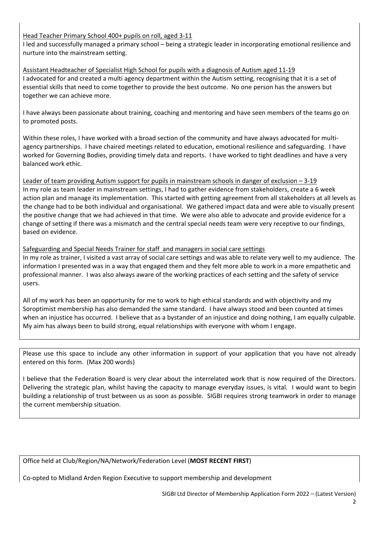# Head Teacher Primary School 400+ pupils on roll, aged 3-11

I led and successfully managed a primary school – being a strategic leader in incorporating emotional resilience and nurture into the mainstream setting.

Assistant Headteacher of Specialist High School for pupils with a diagnosis of Autism aged 11-19 I advocated for and created a multi agency department within the Autism setting, recognising that it is a set of essential skills that need to come together to provide the best outcome. No one person has the answers but together we can achieve more.

I have always been passionate about training, coaching and mentoring and have seen members of the teams go on to promoted posts.

Within these roles, I have worked with a broad section of the community and have always advocated for multiagency partnerships. I have chaired meetings related to education, emotional resilience and safeguarding. I have worked for Governing Bodies, providing timely data and reports. I have worked to tight deadlines and have a very balanced work ethic.

Leader of team providing Autism support for pupils in mainstream schools in danger of exclusion – 3-19 In my role as team leader in mainstream settings, I had to gather evidence from stakeholders, create a 6 week action plan and manage its implementation. This started with getting agreement from all stakeholders at all levels as the change had to be both individual and organisational. We gathered impact data and were able to visually present the positive change that we had achieved in that time. We were also able to advocate and provide evidence for a change of setting if there was a mismatch and the central special needs team were very receptive to our findings, based on evidence.

## Safeguarding and Special Needs Trainer for staff and managers in social care settings

In my role as trainer, I visited a vast array of social care settings and was able to relate very well to my audience. The information I presented was in a way that engaged them and they felt more able to work in a more empathetic and professional manner. I was also always aware of the working practices of each setting and the safety of service users.

All of my work has been an opportunity for me to work to high ethical standards and with objectivity and my Soroptimist membership has also demanded the same standard. I have always stood and been counted at times when an injustice has occurred. I believe that as a bystander of an injustice and doing nothing, I am equally culpable. My aim has always been to build strong, equal relationships with everyone with whom I engage.

Please use this space to include any other information in support of your application that you have not already entered on this form. (Max 200 words)

I believe that the Federation Board is very clear about the interrelated work that is now required of the Directors. Delivering the strategic plan, whilst having the capacity to manage everyday issues, is vital. I would want to begin building a relationship of trust between us as soon as possible. SIGBI requires strong teamwork in order to manage the current membership situation.

Office held at Club/Region/NA/Network/Federation Level (**MOST RECENT FIRST**)

Co-opted to Midland Arden Region Executive to support membership and development

SIGBI Ltd Director of Membership Application Form 2022 – (Latest Version)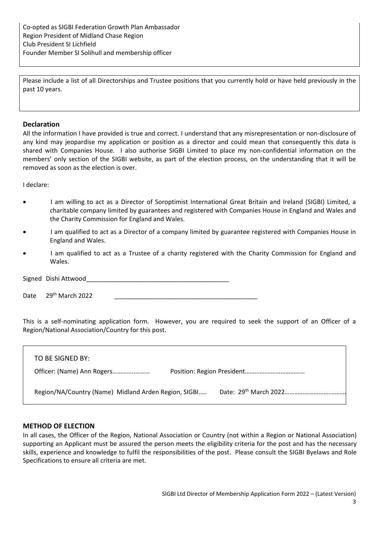Please include a list of all Directorships and Trustee positions that you currently hold or have held previously in the past 10 years.

## **Declaration**

All the information I have provided is true and correct. I understand that any misrepresentation or non-disclosure of any kind may jeopardise my application or position as a director and could mean that consequently this data is shared with Companies House. I also authorise SIGBI Limited to place my non-confidential information on the members' only section of the SIGBI website, as part of the election process, on the understanding that it will be removed as soon as the election is over.

I declare:

- I am willing to act as a Director of Soroptimist International Great Britain and Ireland (SIGBI) Limited, a charitable company limited by guarantees and registered with Companies House in England and Wales and the Charity Commission for England and Wales.
- I am qualified to act as a Director of a company limited by guarantee registered with Companies House in England and Wales.
- I am qualified to act as a Trustee of a charity registered with the Charity Commission for England and Wales.

Signed Dishi Attwood

Date  $29<sup>th</sup>$  March 2022

This is a self-nominating application form. However, you are required to seek the support of an Officer of a Region/National Association/Country for this post.

| TO BE SIGNED BY:                                     |  |  |
|------------------------------------------------------|--|--|
| Officer: (Name) Ann Rogers                           |  |  |
| Region/NA/Country (Name) Midland Arden Region, SIGBI |  |  |

#### **METHOD OF ELECTION**

In all cases, the Officer of the Region, National Association or Country (not within a Region or National Association) supporting an Applicant must be assured the person meets the eligibility criteria for the post and has the necessary skills, experience and knowledge to fulfil the responsibilities of the post. Please consult the SIGBI Byelaws and Role Specifications to ensure all criteria are met.